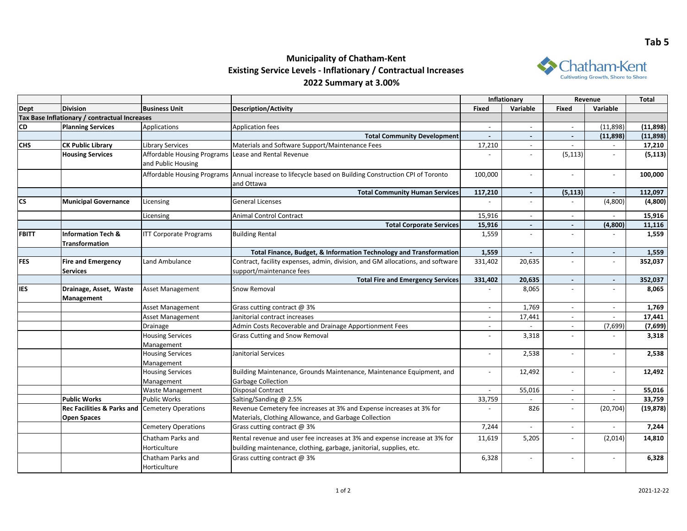## **Municipality of Chatham-Kent Existing Service Levels - Inflationary / Contractual Increases 2022 Summary at 3.00%**



|              |                                               |                                    |                                                                                                                      | Inflationary             |                | Revenue                  |                          | <b>Total</b> |
|--------------|-----------------------------------------------|------------------------------------|----------------------------------------------------------------------------------------------------------------------|--------------------------|----------------|--------------------------|--------------------------|--------------|
| <b>Dept</b>  | <b>Division</b>                               | <b>Business Unit</b>               | <b>Description/Activity</b>                                                                                          | Fixed                    | Variable       | <b>Fixed</b>             | Variable                 |              |
|              | Tax Base Inflationary / contractual Increases |                                    |                                                                                                                      |                          |                |                          |                          |              |
| <b>CD</b>    | <b>Planning Services</b>                      | Applications                       | <b>Application fees</b>                                                                                              | $\overline{\phantom{a}}$ | $\sim$         | $\sim$                   | (11,898)                 | (11, 898)    |
|              |                                               |                                    | <b>Total Community Development</b>                                                                                   | $\sim$                   | $\blacksquare$ | $\blacksquare$           | (11, 898)                | (11,898)     |
| <b>CHS</b>   | <b>CK Public Library</b>                      | Library Services                   | Materials and Software Support/Maintenance Fees                                                                      | 17,210                   |                |                          |                          | 17,210       |
|              | <b>Housing Services</b>                       | <b>Affordable Housing Programs</b> | Lease and Rental Revenue                                                                                             |                          |                | (5, 113)                 |                          | (5, 113)     |
|              |                                               | and Public Housing                 |                                                                                                                      |                          |                |                          |                          |              |
|              |                                               |                                    | Affordable Housing Programs Annual increase to lifecycle based on Building Construction CPI of Toronto<br>and Ottawa | 100,000                  | $\overline{a}$ |                          |                          | 100,000      |
|              |                                               |                                    | <b>Total Community Human Services</b>                                                                                | 117,210                  | $\sim$         | (5, 113)                 | $\blacksquare$           | 112,097      |
| <b>CS</b>    | <b>Municipal Governance</b>                   | Licensing                          | <b>General Licenses</b>                                                                                              |                          |                |                          | (4,800)                  | (4,800)      |
|              |                                               | Licensing                          | Animal Control Contract                                                                                              | 15,916                   | $\overline{a}$ | $\blacksquare$           |                          | 15,916       |
|              |                                               |                                    | <b>Total Corporate Services</b>                                                                                      | 15,916                   | $\blacksquare$ | $\overline{\phantom{a}}$ | (4,800)                  | 11,116       |
| <b>FBITT</b> | <b>Information Tech &amp;</b>                 | <b>ITT Corporate Programs</b>      | <b>Building Rental</b>                                                                                               | 1,559                    | $\blacksquare$ |                          |                          | 1,559        |
|              | Transformation                                |                                    |                                                                                                                      |                          |                |                          |                          |              |
|              |                                               |                                    | Total Finance, Budget, & Information Technology and Transformation                                                   | 1,559                    | $\blacksquare$ | $\sim$                   | $\blacksquare$           | 1,559        |
| <b>FES</b>   | <b>Fire and Emergency</b>                     | Land Ambulance                     | Contract, facility expenses, admin, division, and GM allocations, and software                                       | 331,402                  | 20,635         | $\overline{\phantom{a}}$ | $\overline{\phantom{a}}$ | 352,037      |
|              | <b>Services</b>                               |                                    | support/maintenance fees                                                                                             |                          |                |                          |                          |              |
|              |                                               |                                    | <b>Total Fire and Emergency Services</b>                                                                             | 331,402                  | 20,635         | $\overline{a}$           | $\blacksquare$           | 352,037      |
| <b>IES</b>   | Drainage, Asset, Waste<br>Management          | <b>Asset Management</b>            | Snow Removal                                                                                                         |                          | 8,065          | $\overline{\phantom{a}}$ |                          | 8,065        |
|              |                                               | <b>Asset Management</b>            | Grass cutting contract @ 3%                                                                                          | $\overline{\phantom{a}}$ | 1,769          | $\overline{\phantom{a}}$ | $\overline{\phantom{a}}$ | 1,769        |
|              |                                               | <b>Asset Management</b>            | Janitorial contract increases                                                                                        | $\overline{\phantom{a}}$ | 17,441         | $\blacksquare$           |                          | 17,441       |
|              |                                               | Drainage                           | Admin Costs Recoverable and Drainage Apportionment Fees                                                              | $\overline{\phantom{a}}$ |                | $\overline{\phantom{a}}$ | (7,699)                  | (7,699)      |
|              |                                               | <b>Housing Services</b>            | <b>Grass Cutting and Snow Removal</b>                                                                                | $\overline{a}$           | 3,318          |                          |                          | 3,318        |
|              |                                               | Management                         |                                                                                                                      |                          |                |                          |                          |              |
|              |                                               | <b>Housing Services</b>            | Janitorial Services                                                                                                  | $\overline{\phantom{a}}$ | 2,538          | $\overline{\phantom{a}}$ | $\overline{\phantom{0}}$ | 2,538        |
|              |                                               | Management                         |                                                                                                                      |                          |                |                          |                          |              |
|              |                                               | <b>Housing Services</b>            | Building Maintenance, Grounds Maintenance, Maintenance Equipment, and                                                | $\overline{\phantom{a}}$ | 12,492         | $\blacksquare$           |                          | 12,492       |
|              |                                               | Management                         | Garbage Collection                                                                                                   |                          |                |                          |                          |              |
|              |                                               | Waste Management                   | <b>Disposal Contract</b>                                                                                             |                          | 55,016         | $\overline{a}$           |                          | 55,016       |
|              | <b>Public Works</b>                           | <b>Public Works</b>                | Salting/Sanding @ 2.5%                                                                                               | 33,759                   | $\sim$         | $\overline{\phantom{0}}$ | $\overline{\phantom{0}}$ | 33.759       |
|              | <b>Rec Facilities &amp; Parks and</b>         | <b>Cemetery Operations</b>         | Revenue Cemetery fee increases at 3% and Expense increases at 3% for                                                 |                          | 826            | $\overline{\phantom{a}}$ | (20, 704)                | (19, 878)    |
|              | <b>Open Spaces</b>                            |                                    | Materials, Clothing Allowance, and Garbage Collection                                                                |                          |                |                          |                          |              |
|              |                                               | <b>Cemetery Operations</b>         | Grass cutting contract @ 3%                                                                                          | 7,244                    |                |                          |                          | 7,244        |
|              |                                               | Chatham Parks and                  | Rental revenue and user fee increases at 3% and expense increase at 3% for                                           | 11,619                   | 5,205          | $\overline{\phantom{a}}$ | (2,014)                  | 14,810       |
|              |                                               | Horticulture                       | building maintenance, clothing, garbage, janitorial, supplies, etc.                                                  |                          |                |                          |                          |              |
|              |                                               | Chatham Parks and<br>Horticulture  | Grass cutting contract @ 3%                                                                                          | 6,328                    |                | $\overline{\phantom{a}}$ |                          | 6,328        |